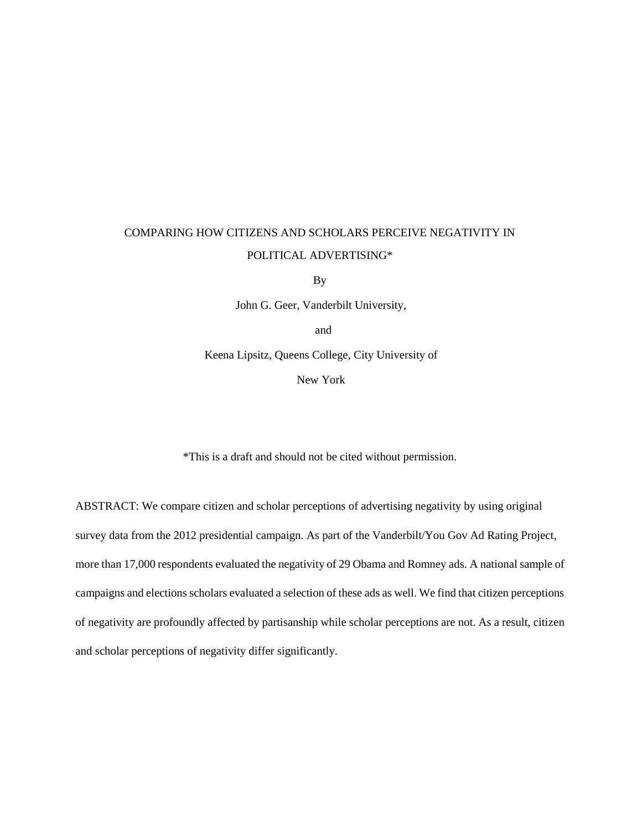# COMPARING HOW CITIZENS AND SCHOLARS PERCEIVE NEGATIVITY IN POLITICAL ADVERTISING\*

By

John G. Geer, Vanderbilt University,

and

Keena Lipsitz, Queens College, City University of

New York

\*This is a draft and should not be cited without permission.

ABSTRACT: We compare citizen and scholar perceptions of advertising negativity by using original survey data from the 2012 presidential campaign. As part of the Vanderbilt/You Gov Ad Rating Project, more than 17,000 respondents evaluated the negativity of 29 Obama and Romney ads. A national sample of campaigns and elections scholars evaluated a selection of these ads as well. We find that citizen perceptions of negativity are profoundly affected by partisanship while scholar perceptions are not. As a result, citizen and scholar perceptions of negativity differ significantly.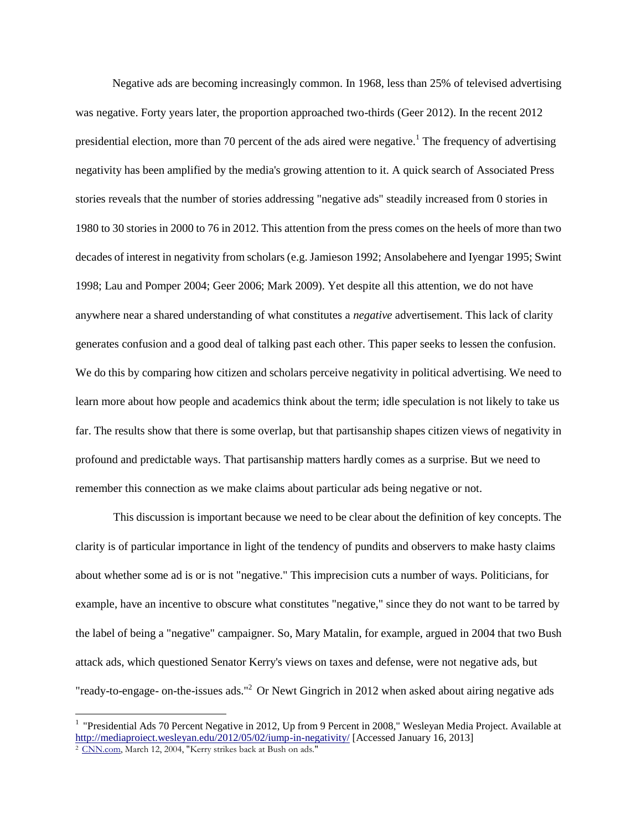Negative ads are becoming increasingly common. In 1968, less than 25% of televised advertising was negative. Forty years later, the proportion approached two-thirds (Geer 2012). In the recent 2012 presidential election, more than 70 percent of the ads aired were negative.<sup>1</sup> The frequency of advertising negativity has been amplified by the media's growing attention to it. A quick search of Associated Press stories reveals that the number of stories addressing "negative ads" steadily increased from 0 stories in 1980 to 30 stories in 2000 to 76 in 2012. This attention from the press comes on the heels of more than two decades of interest in negativity from scholars (e.g. Jamieson 1992; Ansolabehere and Iyengar 1995; Swint 1998; Lau and Pomper 2004; Geer 2006; Mark 2009). Yet despite all this attention, we do not have anywhere near a shared understanding of what constitutes a *negative* advertisement. This lack of clarity generates confusion and a good deal of talking past each other. This paper seeks to lessen the confusion. We do this by comparing how citizen and scholars perceive negativity in political advertising. We need to learn more about how people and academics think about the term; idle speculation is not likely to take us far. The results show that there is some overlap, but that partisanship shapes citizen views of negativity in profound and predictable ways. That partisanship matters hardly comes as a surprise. But we need to remember this connection as we make claims about particular ads being negative or not.

This discussion is important because we need to be clear about the definition of key concepts. The clarity is of particular importance in light of the tendency of pundits and observers to make hasty claims about whether some ad is or is not "negative." This imprecision cuts a number of ways. Politicians, for example, have an incentive to obscure what constitutes "negative," since they do not want to be tarred by the label of being a "negative" campaigner. So, Mary Matalin, for example, argued in 2004 that two Bush attack ads, which questioned Senator Kerry's views on taxes and defense, were not negative ads, but "ready-to-engage- on-the-issues ads."<sup>2</sup> Or Newt Gingrich in 2012 when asked about airing negative ads

<sup>&</sup>lt;sup>1</sup> "Presidential Ads 70 Percent Negative in 2012, Up from 9 Percent in 2008," Wesleyan Media Project. Available at <http://mediaproiect.wesleyan.edu/2012/05/02/iump-in-negativity/> [Accessed January 16, 2013]

<sup>&</sup>lt;sup>2</sup> [CNN.com,](http://cnn.com/) March 12, 2004, "Kerry strikes back at Bush on ads."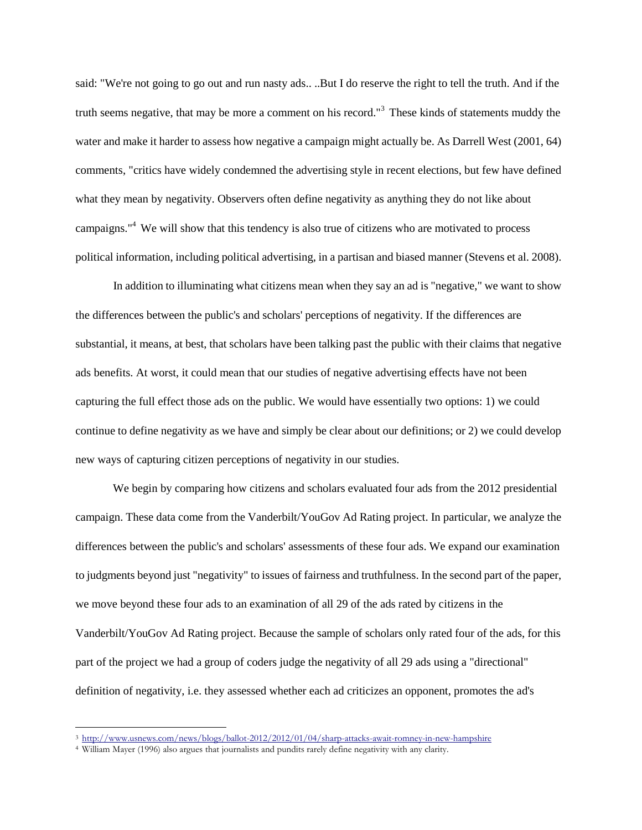said: "We're not going to go out and run nasty ads.. ..But I do reserve the right to tell the truth. And if the truth seems negative, that may be more a comment on his record."<sup>3</sup> These kinds of statements muddy the water and make it harder to assess how negative a campaign might actually be. As Darrell West (2001, 64) comments, "critics have widely condemned the advertising style in recent elections, but few have defined what they mean by negativity. Observers often define negativity as anything they do not like about campaigns."<sup>4</sup> We will show that this tendency is also true of citizens who are motivated to process political information, including political advertising, in a partisan and biased manner (Stevens et al. 2008).

In addition to illuminating what citizens mean when they say an ad is "negative," we want to show the differences between the public's and scholars' perceptions of negativity. If the differences are substantial, it means, at best, that scholars have been talking past the public with their claims that negative ads benefits. At worst, it could mean that our studies of negative advertising effects have not been capturing the full effect those ads on the public. We would have essentially two options: 1) we could continue to define negativity as we have and simply be clear about our definitions; or 2) we could develop new ways of capturing citizen perceptions of negativity in our studies.

We begin by comparing how citizens and scholars evaluated four ads from the 2012 presidential campaign. These data come from the Vanderbilt/YouGov Ad Rating project. In particular, we analyze the differences between the public's and scholars' assessments of these four ads. We expand our examination to judgments beyond just "negativity" to issues of fairness and truthfulness. In the second part of the paper, we move beyond these four ads to an examination of all 29 of the ads rated by citizens in the Vanderbilt/YouGov Ad Rating project. Because the sample of scholars only rated four of the ads, for this part of the project we had a group of coders judge the negativity of all 29 ads using a "directional" definition of negativity, i.e. they assessed whether each ad criticizes an opponent, promotes the ad's

<sup>3</sup> <http://www.usnews.com/news/blogs/ballot-2012/2012/01/04/sharp-attacks-await-romney-in-new-hampshire>

<sup>4</sup> William Mayer (1996) also argues that journalists and pundits rarely define negativity with any clarity.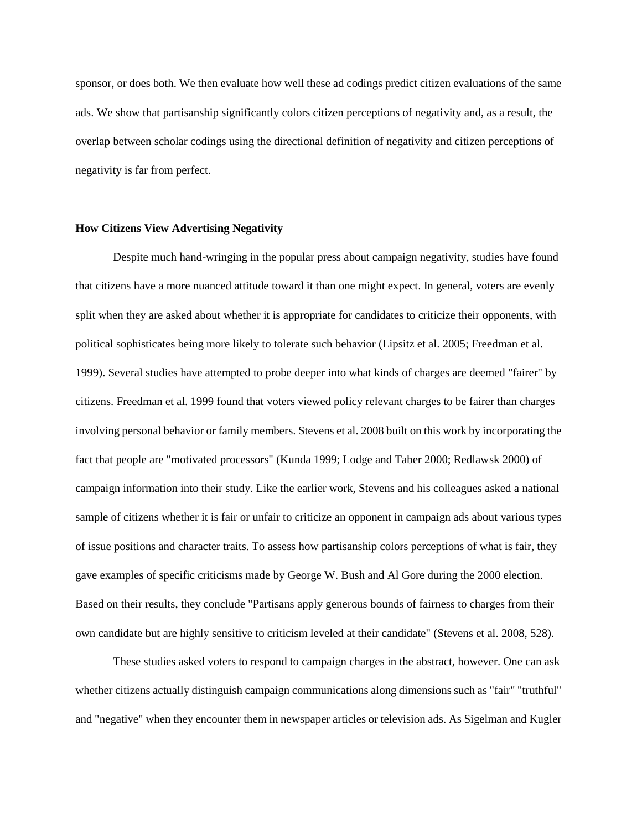sponsor, or does both. We then evaluate how well these ad codings predict citizen evaluations of the same ads. We show that partisanship significantly colors citizen perceptions of negativity and, as a result, the overlap between scholar codings using the directional definition of negativity and citizen perceptions of negativity is far from perfect.

#### **How Citizens View Advertising Negativity**

Despite much hand-wringing in the popular press about campaign negativity, studies have found that citizens have a more nuanced attitude toward it than one might expect. In general, voters are evenly split when they are asked about whether it is appropriate for candidates to criticize their opponents, with political sophisticates being more likely to tolerate such behavior (Lipsitz et al. 2005; Freedman et al. 1999). Several studies have attempted to probe deeper into what kinds of charges are deemed "fairer" by citizens. Freedman et al. 1999 found that voters viewed policy relevant charges to be fairer than charges involving personal behavior or family members. Stevens et al. 2008 built on this work by incorporating the fact that people are "motivated processors" (Kunda 1999; Lodge and Taber 2000; Redlawsk 2000) of campaign information into their study. Like the earlier work, Stevens and his colleagues asked a national sample of citizens whether it is fair or unfair to criticize an opponent in campaign ads about various types of issue positions and character traits. To assess how partisanship colors perceptions of what is fair, they gave examples of specific criticisms made by George W. Bush and Al Gore during the 2000 election. Based on their results, they conclude "Partisans apply generous bounds of fairness to charges from their own candidate but are highly sensitive to criticism leveled at their candidate" (Stevens et al. 2008, 528).

These studies asked voters to respond to campaign charges in the abstract, however. One can ask whether citizens actually distinguish campaign communications along dimensions such as "fair" "truthful" and "negative" when they encounter them in newspaper articles or television ads. As Sigelman and Kugler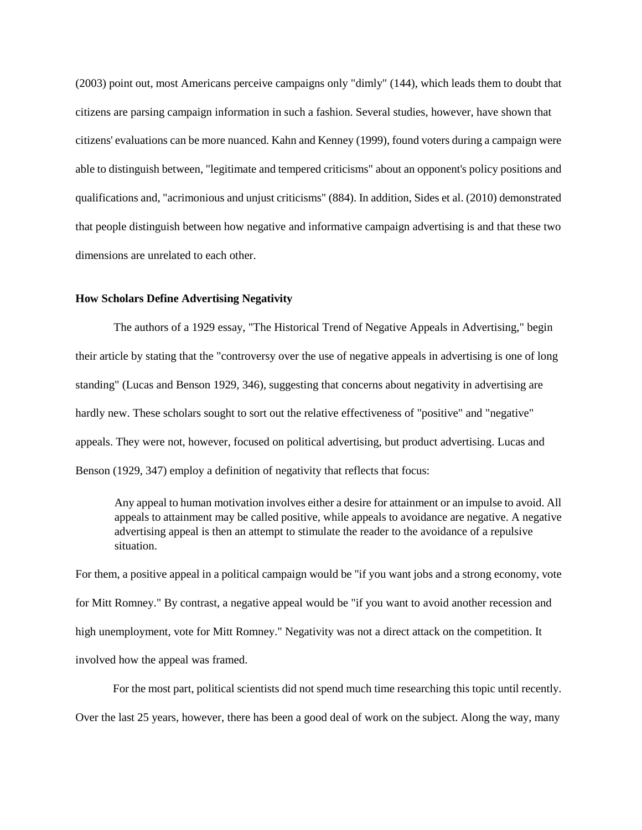(2003) point out, most Americans perceive campaigns only "dimly" (144), which leads them to doubt that citizens are parsing campaign information in such a fashion. Several studies, however, have shown that citizens' evaluations can be more nuanced. Kahn and Kenney (1999), found voters during a campaign were able to distinguish between, "legitimate and tempered criticisms" about an opponent's policy positions and qualifications and, "acrimonious and unjust criticisms" (884). In addition, Sides et al. (2010) demonstrated that people distinguish between how negative and informative campaign advertising is and that these two dimensions are unrelated to each other.

#### **How Scholars Define Advertising Negativity**

The authors of a 1929 essay, "The Historical Trend of Negative Appeals in Advertising," begin their article by stating that the "controversy over the use of negative appeals in advertising is one of long standing" (Lucas and Benson 1929, 346), suggesting that concerns about negativity in advertising are hardly new. These scholars sought to sort out the relative effectiveness of "positive" and "negative" appeals. They were not, however, focused on political advertising, but product advertising. Lucas and Benson (1929, 347) employ a definition of negativity that reflects that focus:

Any appeal to human motivation involves either a desire for attainment or an impulse to avoid. All appeals to attainment may be called positive, while appeals to avoidance are negative. A negative advertising appeal is then an attempt to stimulate the reader to the avoidance of a repulsive situation.

For them, a positive appeal in a political campaign would be "if you want jobs and a strong economy, vote for Mitt Romney." By contrast, a negative appeal would be "if you want to avoid another recession and high unemployment, vote for Mitt Romney." Negativity was not a direct attack on the competition. It involved how the appeal was framed.

For the most part, political scientists did not spend much time researching this topic until recently. Over the last 25 years, however, there has been a good deal of work on the subject. Along the way, many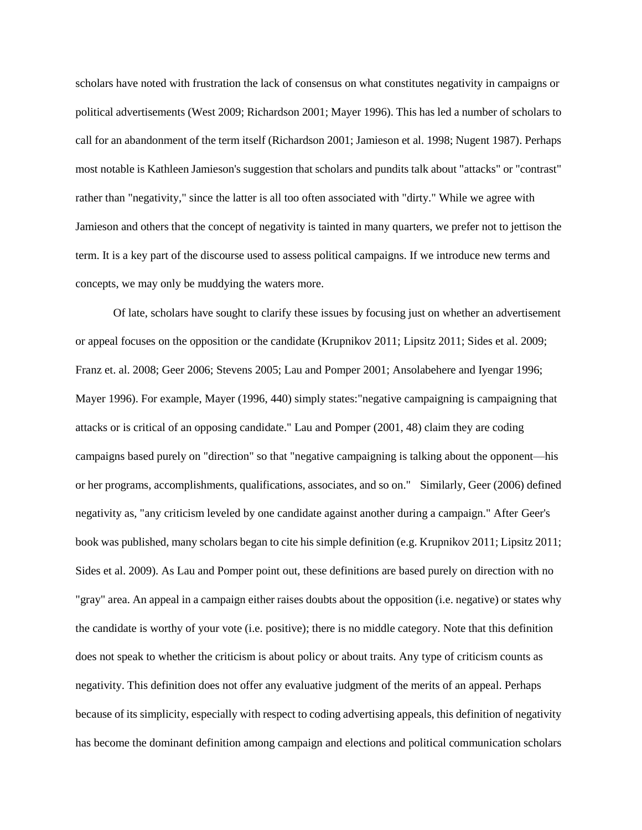scholars have noted with frustration the lack of consensus on what constitutes negativity in campaigns or political advertisements (West 2009; Richardson 2001; Mayer 1996). This has led a number of scholars to call for an abandonment of the term itself (Richardson 2001; Jamieson et al. 1998; Nugent 1987). Perhaps most notable is Kathleen Jamieson's suggestion that scholars and pundits talk about "attacks" or "contrast" rather than "negativity," since the latter is all too often associated with "dirty." While we agree with Jamieson and others that the concept of negativity is tainted in many quarters, we prefer not to jettison the term. It is a key part of the discourse used to assess political campaigns. If we introduce new terms and concepts, we may only be muddying the waters more.

Of late, scholars have sought to clarify these issues by focusing just on whether an advertisement or appeal focuses on the opposition or the candidate (Krupnikov 2011; Lipsitz 2011; Sides et al. 2009; Franz et. al. 2008; Geer 2006; Stevens 2005; Lau and Pomper 2001; Ansolabehere and Iyengar 1996; Mayer 1996). For example, Mayer (1996, 440) simply states:"negative campaigning is campaigning that attacks or is critical of an opposing candidate." Lau and Pomper (2001, 48) claim they are coding campaigns based purely on "direction" so that "negative campaigning is talking about the opponent—his or her programs, accomplishments, qualifications, associates, and so on." Similarly, Geer (2006) defined negativity as, "any criticism leveled by one candidate against another during a campaign." After Geer's book was published, many scholars began to cite his simple definition (e.g. Krupnikov 2011; Lipsitz 2011; Sides et al. 2009). As Lau and Pomper point out, these definitions are based purely on direction with no "gray" area. An appeal in a campaign either raises doubts about the opposition (i.e. negative) or states why the candidate is worthy of your vote (i.e. positive); there is no middle category. Note that this definition does not speak to whether the criticism is about policy or about traits. Any type of criticism counts as negativity. This definition does not offer any evaluative judgment of the merits of an appeal. Perhaps because of its simplicity, especially with respect to coding advertising appeals, this definition of negativity has become the dominant definition among campaign and elections and political communication scholars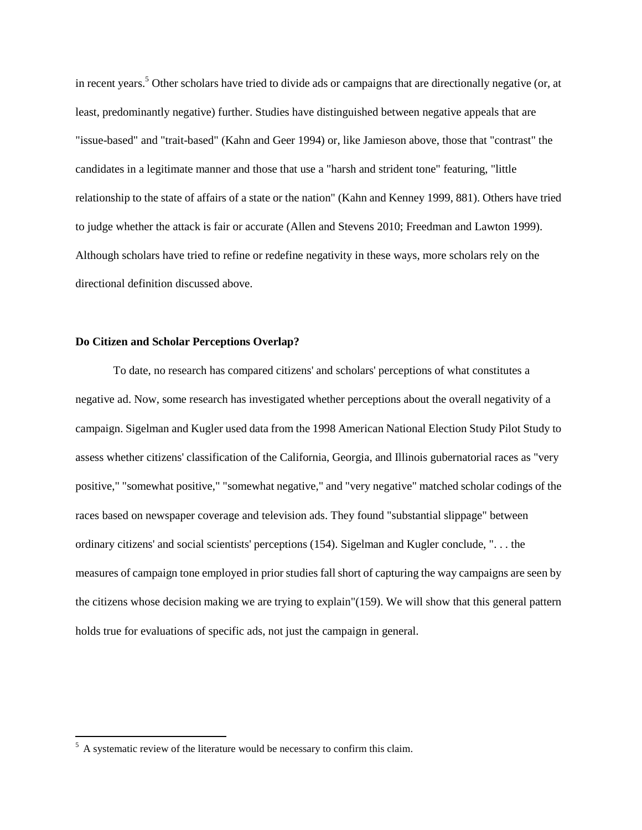in recent years.<sup>5</sup> Other scholars have tried to divide ads or campaigns that are directionally negative (or, at least, predominantly negative) further. Studies have distinguished between negative appeals that are "issue-based" and "trait-based" (Kahn and Geer 1994) or, like Jamieson above, those that "contrast" the candidates in a legitimate manner and those that use a "harsh and strident tone" featuring, "little relationship to the state of affairs of a state or the nation" (Kahn and Kenney 1999, 881). Others have tried to judge whether the attack is fair or accurate (Allen and Stevens 2010; Freedman and Lawton 1999). Although scholars have tried to refine or redefine negativity in these ways, more scholars rely on the directional definition discussed above.

# **Do Citizen and Scholar Perceptions Overlap?**

To date, no research has compared citizens' and scholars' perceptions of what constitutes a negative ad. Now, some research has investigated whether perceptions about the overall negativity of a campaign. Sigelman and Kugler used data from the 1998 American National Election Study Pilot Study to assess whether citizens' classification of the California, Georgia, and Illinois gubernatorial races as "very positive," "somewhat positive," "somewhat negative," and "very negative" matched scholar codings of the races based on newspaper coverage and television ads. They found "substantial slippage" between ordinary citizens' and social scientists' perceptions (154). Sigelman and Kugler conclude, ". . . the measures of campaign tone employed in prior studies fall short of capturing the way campaigns are seen by the citizens whose decision making we are trying to explain"(159). We will show that this general pattern holds true for evaluations of specific ads, not just the campaign in general.

 $<sup>5</sup>$  A systematic review of the literature would be necessary to confirm this claim.</sup>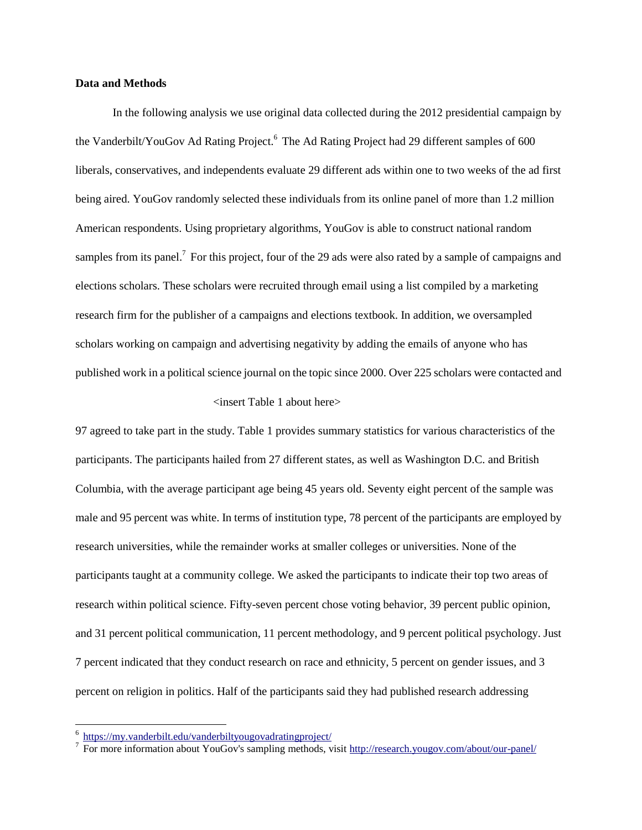#### **Data and Methods**

In the following analysis we use original data collected during the 2012 presidential campaign by the Vanderbilt/YouGov Ad Rating Project.<sup>6</sup> The Ad Rating Project had 29 different samples of 600 liberals, conservatives, and independents evaluate 29 different ads within one to two weeks of the ad first being aired. YouGov randomly selected these individuals from its online panel of more than 1.2 million American respondents. Using proprietary algorithms, YouGov is able to construct national random samples from its panel.<sup>7</sup> For this project, four of the 29 ads were also rated by a sample of campaigns and elections scholars. These scholars were recruited through email using a list compiled by a marketing research firm for the publisher of a campaigns and elections textbook. In addition, we oversampled scholars working on campaign and advertising negativity by adding the emails of anyone who has published work in a political science journal on the topic since 2000. Over 225 scholars were contacted and <insert Table 1 about here>

97 agreed to take part in the study. Table 1 provides summary statistics for various characteristics of the participants. The participants hailed from 27 different states, as well as Washington D.C. and British Columbia, with the average participant age being 45 years old. Seventy eight percent of the sample was male and 95 percent was white. In terms of institution type, 78 percent of the participants are employed by research universities, while the remainder works at smaller colleges or universities. None of the participants taught at a community college. We asked the participants to indicate their top two areas of research within political science. Fifty-seven percent chose voting behavior, 39 percent public opinion, and 31 percent political communication, 11 percent methodology, and 9 percent political psychology. Just 7 percent indicated that they conduct research on race and ethnicity, 5 percent on gender issues, and 3 percent on religion in politics. Half of the participants said they had published research addressing

 6 <https://my.vanderbilt.edu/vanderbiltyougovadratingproject/>

<sup>&</sup>lt;sup>7</sup> For more information about YouGov's sampling methods, visit<http://research.yougov.com/about/our-panel/>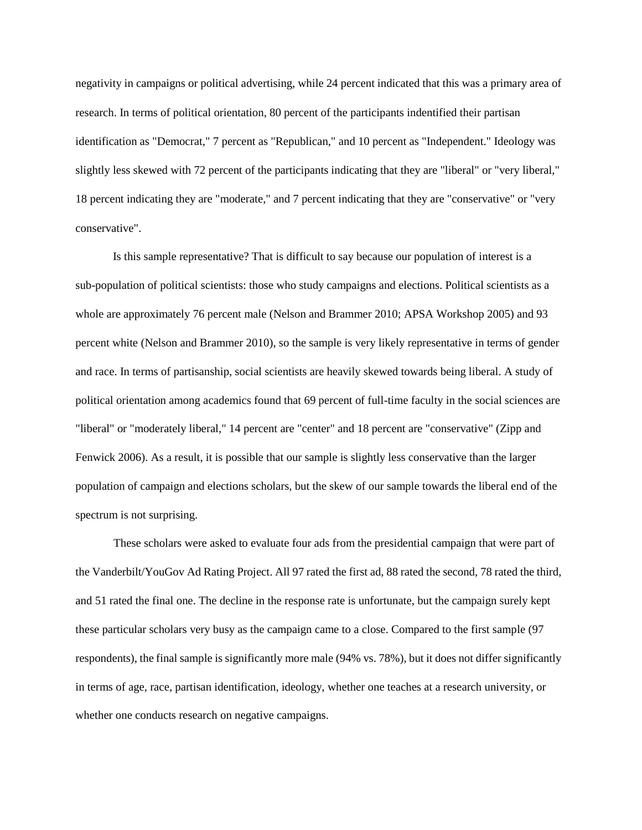negativity in campaigns or political advertising, while 24 percent indicated that this was a primary area of research. In terms of political orientation, 80 percent of the participants indentified their partisan identification as "Democrat," 7 percent as "Republican," and 10 percent as "Independent." Ideology was slightly less skewed with 72 percent of the participants indicating that they are "liberal" or "very liberal," 18 percent indicating they are "moderate," and 7 percent indicating that they are "conservative" or "very conservative".

Is this sample representative? That is difficult to say because our population of interest is a sub-population of political scientists: those who study campaigns and elections. Political scientists as a whole are approximately 76 percent male (Nelson and Brammer 2010; APSA Workshop 2005) and 93 percent white (Nelson and Brammer 2010), so the sample is very likely representative in terms of gender and race. In terms of partisanship, social scientists are heavily skewed towards being liberal. A study of political orientation among academics found that 69 percent of full-time faculty in the social sciences are "liberal" or "moderately liberal," 14 percent are "center" and 18 percent are "conservative" (Zipp and Fenwick 2006). As a result, it is possible that our sample is slightly less conservative than the larger population of campaign and elections scholars, but the skew of our sample towards the liberal end of the spectrum is not surprising.

These scholars were asked to evaluate four ads from the presidential campaign that were part of the Vanderbilt/YouGov Ad Rating Project. All 97 rated the first ad, 88 rated the second, 78 rated the third, and 51 rated the final one. The decline in the response rate is unfortunate, but the campaign surely kept these particular scholars very busy as the campaign came to a close. Compared to the first sample (97 respondents), the final sample is significantly more male (94% vs. 78%), but it does not differ significantly in terms of age, race, partisan identification, ideology, whether one teaches at a research university, or whether one conducts research on negative campaigns.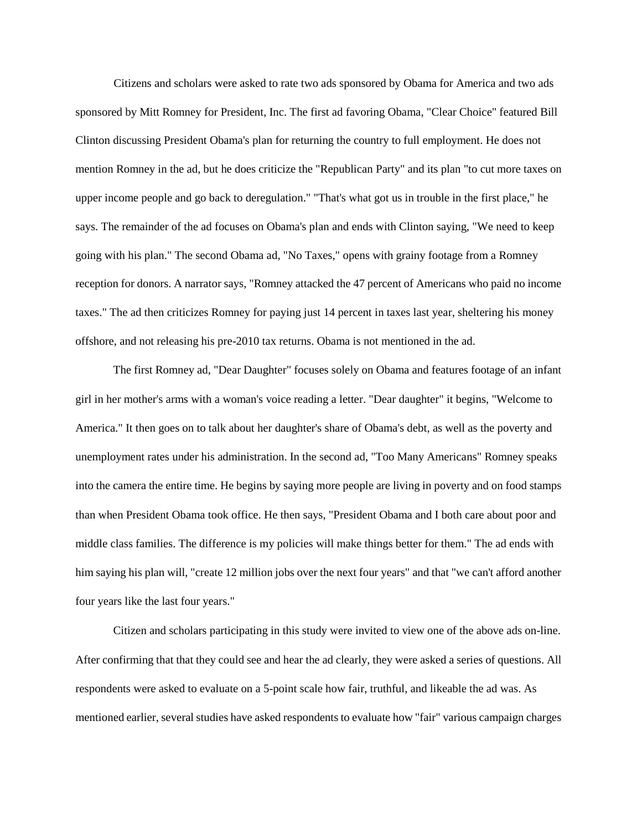Citizens and scholars were asked to rate two ads sponsored by Obama for America and two ads sponsored by Mitt Romney for President, Inc. The first ad favoring Obama, "Clear Choice" featured Bill Clinton discussing President Obama's plan for returning the country to full employment. He does not mention Romney in the ad, but he does criticize the "Republican Party" and its plan "to cut more taxes on upper income people and go back to deregulation." "That's what got us in trouble in the first place," he says. The remainder of the ad focuses on Obama's plan and ends with Clinton saying, "We need to keep going with his plan." The second Obama ad, "No Taxes," opens with grainy footage from a Romney reception for donors. A narrator says, "Romney attacked the 47 percent of Americans who paid no income taxes." The ad then criticizes Romney for paying just 14 percent in taxes last year, sheltering his money offshore, and not releasing his pre-2010 tax returns. Obama is not mentioned in the ad.

The first Romney ad, "Dear Daughter" focuses solely on Obama and features footage of an infant girl in her mother's arms with a woman's voice reading a letter. "Dear daughter" it begins, "Welcome to America." It then goes on to talk about her daughter's share of Obama's debt, as well as the poverty and unemployment rates under his administration. In the second ad, "Too Many Americans" Romney speaks into the camera the entire time. He begins by saying more people are living in poverty and on food stamps than when President Obama took office. He then says, "President Obama and I both care about poor and middle class families. The difference is my policies will make things better for them." The ad ends with him saying his plan will, "create 12 million jobs over the next four years" and that "we can't afford another four years like the last four years."

Citizen and scholars participating in this study were invited to view one of the above ads on-line. After confirming that that they could see and hear the ad clearly, they were asked a series of questions. All respondents were asked to evaluate on a 5-point scale how fair, truthful, and likeable the ad was. As mentioned earlier, several studies have asked respondents to evaluate how "fair" various campaign charges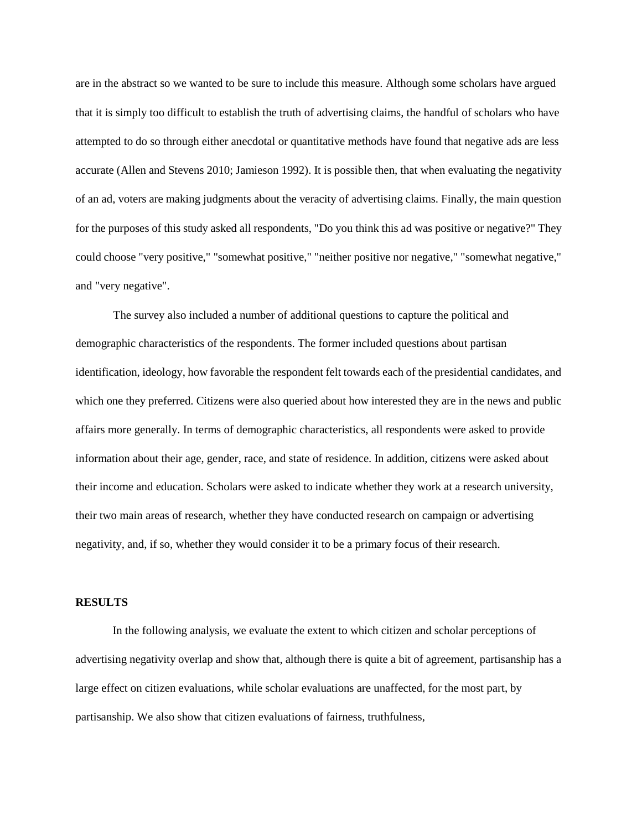are in the abstract so we wanted to be sure to include this measure. Although some scholars have argued that it is simply too difficult to establish the truth of advertising claims, the handful of scholars who have attempted to do so through either anecdotal or quantitative methods have found that negative ads are less accurate (Allen and Stevens 2010; Jamieson 1992). It is possible then, that when evaluating the negativity of an ad, voters are making judgments about the veracity of advertising claims. Finally, the main question for the purposes of this study asked all respondents, "Do you think this ad was positive or negative?" They could choose "very positive," "somewhat positive," "neither positive nor negative," "somewhat negative," and "very negative".

The survey also included a number of additional questions to capture the political and demographic characteristics of the respondents. The former included questions about partisan identification, ideology, how favorable the respondent felt towards each of the presidential candidates, and which one they preferred. Citizens were also queried about how interested they are in the news and public affairs more generally. In terms of demographic characteristics, all respondents were asked to provide information about their age, gender, race, and state of residence. In addition, citizens were asked about their income and education. Scholars were asked to indicate whether they work at a research university, their two main areas of research, whether they have conducted research on campaign or advertising negativity, and, if so, whether they would consider it to be a primary focus of their research.

## **RESULTS**

In the following analysis, we evaluate the extent to which citizen and scholar perceptions of advertising negativity overlap and show that, although there is quite a bit of agreement, partisanship has a large effect on citizen evaluations, while scholar evaluations are unaffected, for the most part, by partisanship. We also show that citizen evaluations of fairness, truthfulness,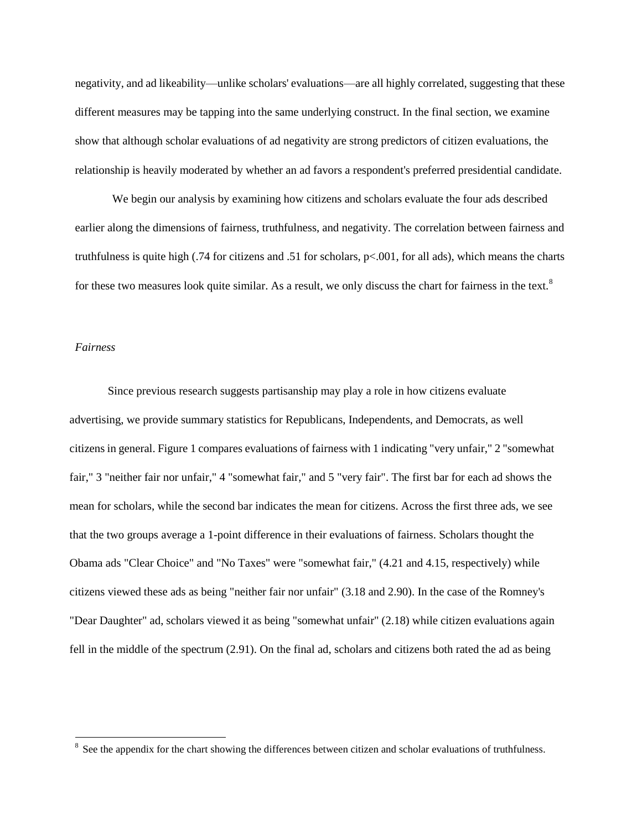negativity, and ad likeability—unlike scholars' evaluations—are all highly correlated, suggesting that these different measures may be tapping into the same underlying construct. In the final section, we examine show that although scholar evaluations of ad negativity are strong predictors of citizen evaluations, the relationship is heavily moderated by whether an ad favors a respondent's preferred presidential candidate.

We begin our analysis by examining how citizens and scholars evaluate the four ads described earlier along the dimensions of fairness, truthfulness, and negativity. The correlation between fairness and truthfulness is quite high (.74 for citizens and .51 for scholars, p<.001, for all ads), which means the charts for these two measures look quite similar. As a result, we only discuss the chart for fairness in the text.<sup>8</sup>

## *Fairness*

 $\overline{a}$ 

Since previous research suggests partisanship may play a role in how citizens evaluate advertising, we provide summary statistics for Republicans, Independents, and Democrats, as well citizens in general. Figure 1 compares evaluations of fairness with 1 indicating "very unfair," 2 "somewhat fair," 3 "neither fair nor unfair," 4 "somewhat fair," and 5 "very fair". The first bar for each ad shows the mean for scholars, while the second bar indicates the mean for citizens. Across the first three ads, we see that the two groups average a 1-point difference in their evaluations of fairness. Scholars thought the Obama ads "Clear Choice" and "No Taxes" were "somewhat fair," (4.21 and 4.15, respectively) while citizens viewed these ads as being "neither fair nor unfair" (3.18 and 2.90). In the case of the Romney's "Dear Daughter" ad, scholars viewed it as being "somewhat unfair" (2.18) while citizen evaluations again fell in the middle of the spectrum (2.91). On the final ad, scholars and citizens both rated the ad as being

 $8$  See the appendix for the chart showing the differences between citizen and scholar evaluations of truthfulness.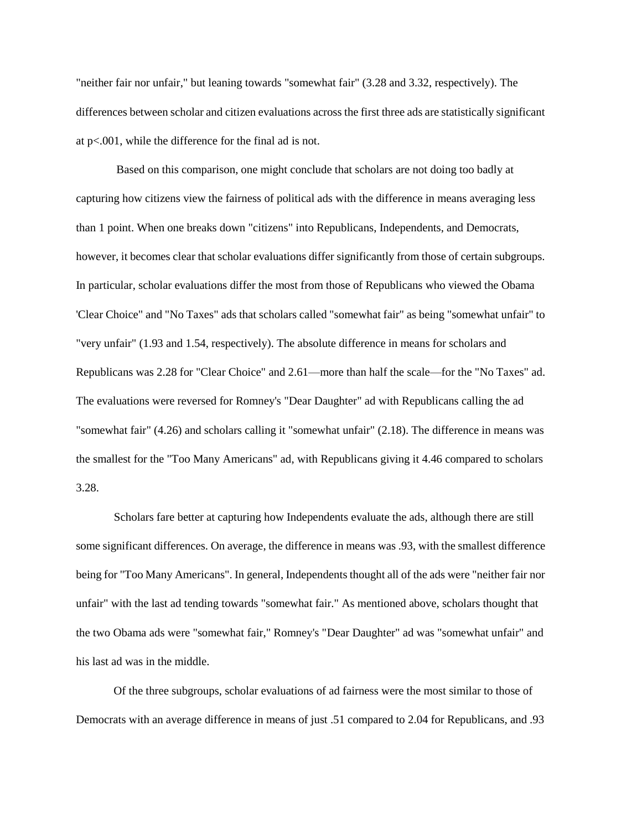"neither fair nor unfair," but leaning towards "somewhat fair" (3.28 and 3.32, respectively). The differences between scholar and citizen evaluations across the first three ads are statistically significant at p<.001, while the difference for the final ad is not.

Based on this comparison, one might conclude that scholars are not doing too badly at capturing how citizens view the fairness of political ads with the difference in means averaging less than 1 point. When one breaks down "citizens" into Republicans, Independents, and Democrats, however, it becomes clear that scholar evaluations differ significantly from those of certain subgroups. In particular, scholar evaluations differ the most from those of Republicans who viewed the Obama 'Clear Choice" and "No Taxes" ads that scholars called "somewhat fair" as being "somewhat unfair" to "very unfair" (1.93 and 1.54, respectively). The absolute difference in means for scholars and Republicans was 2.28 for "Clear Choice" and 2.61—more than half the scale—for the "No Taxes" ad. The evaluations were reversed for Romney's "Dear Daughter" ad with Republicans calling the ad "somewhat fair" (4.26) and scholars calling it "somewhat unfair" (2.18). The difference in means was the smallest for the "Too Many Americans" ad, with Republicans giving it 4.46 compared to scholars 3.28.

Scholars fare better at capturing how Independents evaluate the ads, although there are still some significant differences. On average, the difference in means was .93, with the smallest difference being for "Too Many Americans". In general, Independents thought all of the ads were "neither fair nor unfair" with the last ad tending towards "somewhat fair." As mentioned above, scholars thought that the two Obama ads were "somewhat fair," Romney's "Dear Daughter" ad was "somewhat unfair" and his last ad was in the middle.

Of the three subgroups, scholar evaluations of ad fairness were the most similar to those of Democrats with an average difference in means of just .51 compared to 2.04 for Republicans, and .93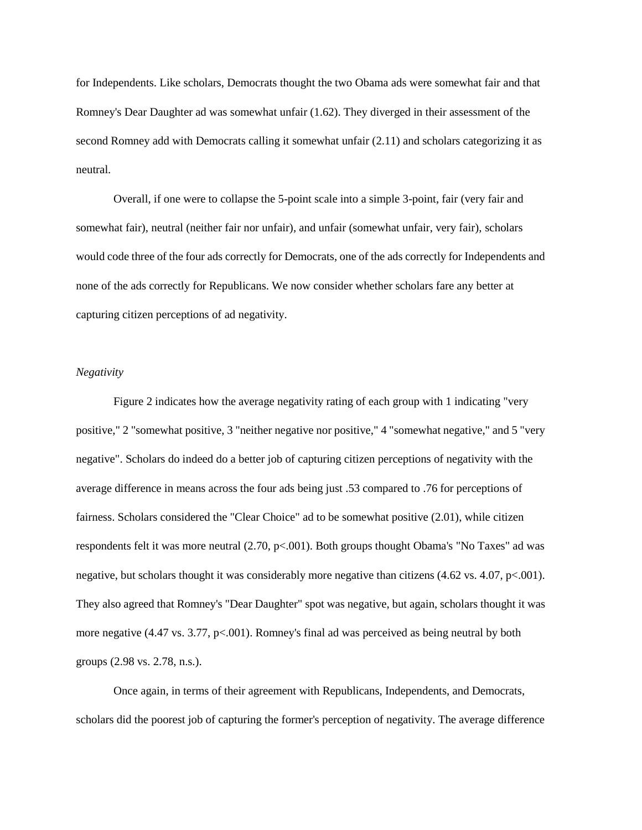for Independents. Like scholars, Democrats thought the two Obama ads were somewhat fair and that Romney's Dear Daughter ad was somewhat unfair (1.62). They diverged in their assessment of the second Romney add with Democrats calling it somewhat unfair (2.11) and scholars categorizing it as neutral.

Overall, if one were to collapse the 5-point scale into a simple 3-point, fair (very fair and somewhat fair), neutral (neither fair nor unfair), and unfair (somewhat unfair, very fair), scholars would code three of the four ads correctly for Democrats, one of the ads correctly for Independents and none of the ads correctly for Republicans. We now consider whether scholars fare any better at capturing citizen perceptions of ad negativity.

#### *Negativity*

Figure 2 indicates how the average negativity rating of each group with 1 indicating "very positive," 2 "somewhat positive, 3 "neither negative nor positive," 4 "somewhat negative," and 5 "very negative". Scholars do indeed do a better job of capturing citizen perceptions of negativity with the average difference in means across the four ads being just .53 compared to .76 for perceptions of fairness. Scholars considered the "Clear Choice" ad to be somewhat positive (2.01), while citizen respondents felt it was more neutral (2.70, p<.001). Both groups thought Obama's "No Taxes" ad was negative, but scholars thought it was considerably more negative than citizens  $(4.62 \text{ vs. } 4.07, \text{ p} < 0.001)$ . They also agreed that Romney's "Dear Daughter" spot was negative, but again, scholars thought it was more negative (4.47 vs. 3.77, p<.001). Romney's final ad was perceived as being neutral by both groups (2.98 vs. 2.78, n.s.).

Once again, in terms of their agreement with Republicans, Independents, and Democrats, scholars did the poorest job of capturing the former's perception of negativity. The average difference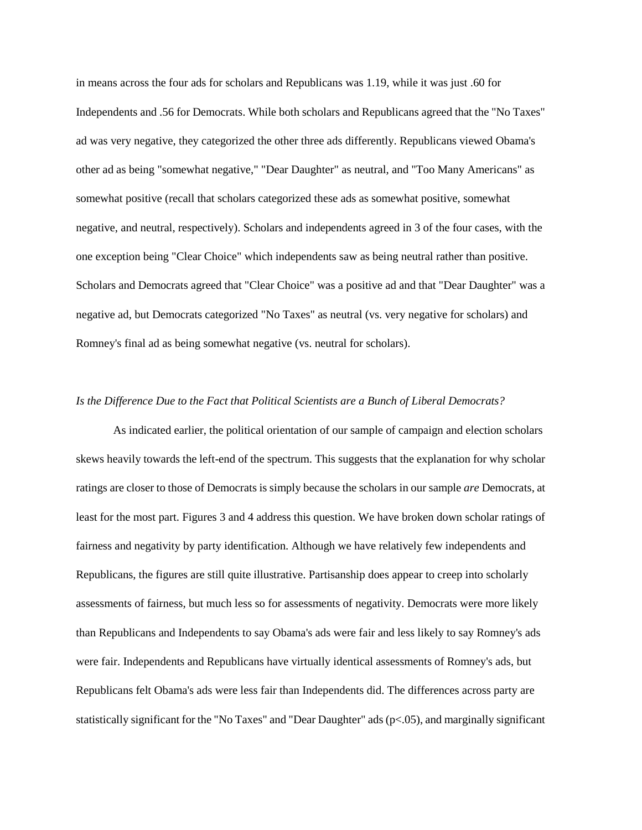in means across the four ads for scholars and Republicans was 1.19, while it was just .60 for Independents and .56 for Democrats. While both scholars and Republicans agreed that the "No Taxes" ad was very negative, they categorized the other three ads differently. Republicans viewed Obama's other ad as being "somewhat negative," "Dear Daughter" as neutral, and "Too Many Americans" as somewhat positive (recall that scholars categorized these ads as somewhat positive, somewhat negative, and neutral, respectively). Scholars and independents agreed in 3 of the four cases, with the one exception being "Clear Choice" which independents saw as being neutral rather than positive. Scholars and Democrats agreed that "Clear Choice" was a positive ad and that "Dear Daughter" was a negative ad, but Democrats categorized "No Taxes" as neutral (vs. very negative for scholars) and Romney's final ad as being somewhat negative (vs. neutral for scholars).

## *Is the Difference Due to the Fact that Political Scientists are a Bunch of Liberal Democrats?*

As indicated earlier, the political orientation of our sample of campaign and election scholars skews heavily towards the left-end of the spectrum. This suggests that the explanation for why scholar ratings are closer to those of Democrats is simply because the scholars in our sample *are* Democrats, at least for the most part. Figures 3 and 4 address this question. We have broken down scholar ratings of fairness and negativity by party identification. Although we have relatively few independents and Republicans, the figures are still quite illustrative. Partisanship does appear to creep into scholarly assessments of fairness, but much less so for assessments of negativity. Democrats were more likely than Republicans and Independents to say Obama's ads were fair and less likely to say Romney's ads were fair. Independents and Republicans have virtually identical assessments of Romney's ads, but Republicans felt Obama's ads were less fair than Independents did. The differences across party are statistically significant for the "No Taxes" and "Dear Daughter" ads (p<.05), and marginally significant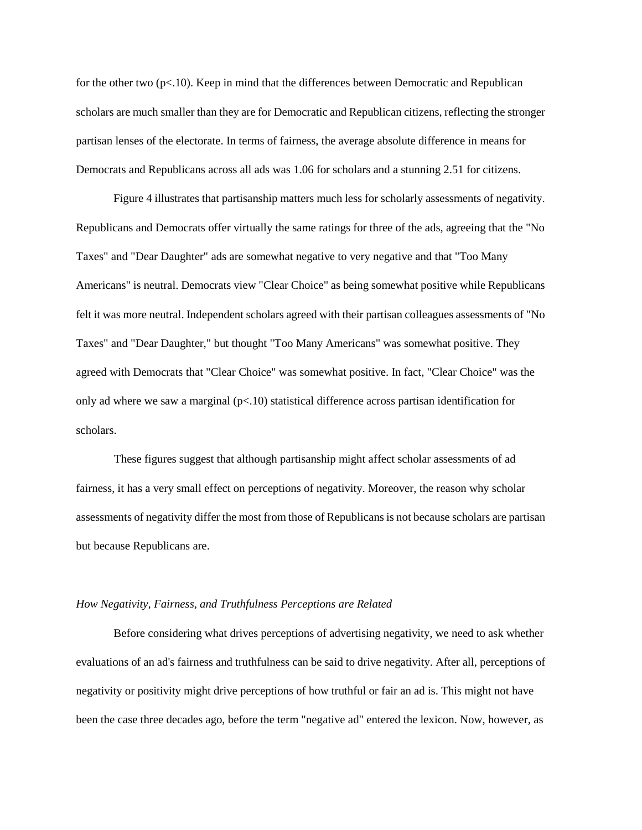for the other two  $(p<.10)$ . Keep in mind that the differences between Democratic and Republican scholars are much smaller than they are for Democratic and Republican citizens, reflecting the stronger partisan lenses of the electorate. In terms of fairness, the average absolute difference in means for Democrats and Republicans across all ads was 1.06 for scholars and a stunning 2.51 for citizens.

Figure 4 illustrates that partisanship matters much less for scholarly assessments of negativity. Republicans and Democrats offer virtually the same ratings for three of the ads, agreeing that the "No Taxes" and "Dear Daughter" ads are somewhat negative to very negative and that "Too Many Americans" is neutral. Democrats view "Clear Choice" as being somewhat positive while Republicans felt it was more neutral. Independent scholars agreed with their partisan colleagues assessments of "No Taxes" and "Dear Daughter," but thought "Too Many Americans" was somewhat positive. They agreed with Democrats that "Clear Choice" was somewhat positive. In fact, "Clear Choice" was the only ad where we saw a marginal  $(p<10)$  statistical difference across partisan identification for scholars.

These figures suggest that although partisanship might affect scholar assessments of ad fairness, it has a very small effect on perceptions of negativity. Moreover, the reason why scholar assessments of negativity differ the most from those of Republicans is not because scholars are partisan but because Republicans are.

#### *How Negativity, Fairness, and Truthfulness Perceptions are Related*

Before considering what drives perceptions of advertising negativity, we need to ask whether evaluations of an ad's fairness and truthfulness can be said to drive negativity. After all, perceptions of negativity or positivity might drive perceptions of how truthful or fair an ad is. This might not have been the case three decades ago, before the term "negative ad" entered the lexicon. Now, however, as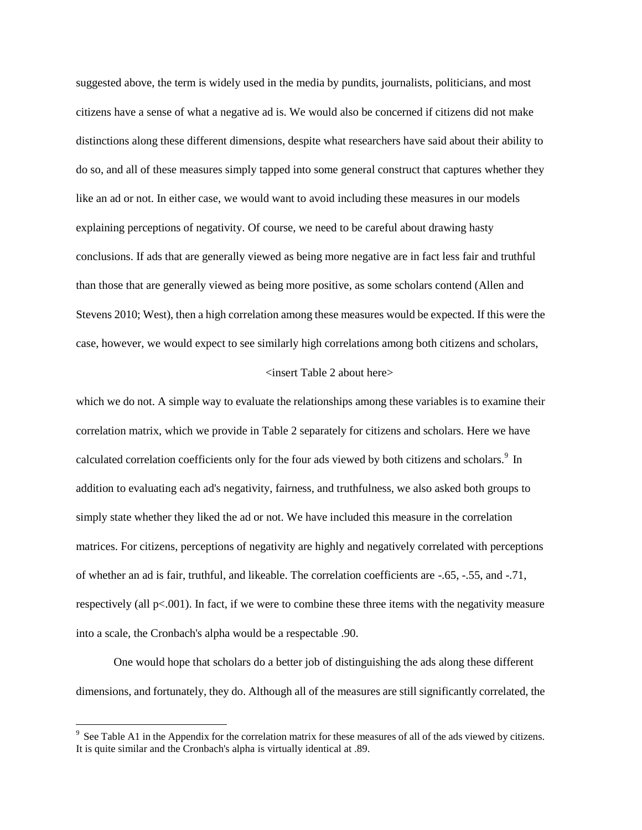suggested above, the term is widely used in the media by pundits, journalists, politicians, and most citizens have a sense of what a negative ad is. We would also be concerned if citizens did not make distinctions along these different dimensions, despite what researchers have said about their ability to do so, and all of these measures simply tapped into some general construct that captures whether they like an ad or not. In either case, we would want to avoid including these measures in our models explaining perceptions of negativity. Of course, we need to be careful about drawing hasty conclusions. If ads that are generally viewed as being more negative are in fact less fair and truthful than those that are generally viewed as being more positive, as some scholars contend (Allen and Stevens 2010; West), then a high correlation among these measures would be expected. If this were the case, however, we would expect to see similarly high correlations among both citizens and scholars,

#### <insert Table 2 about here>

which we do not. A simple way to evaluate the relationships among these variables is to examine their correlation matrix, which we provide in Table 2 separately for citizens and scholars. Here we have calculated correlation coefficients only for the four ads viewed by both citizens and scholars.<sup>9</sup> In addition to evaluating each ad's negativity, fairness, and truthfulness, we also asked both groups to simply state whether they liked the ad or not. We have included this measure in the correlation matrices. For citizens, perceptions of negativity are highly and negatively correlated with perceptions of whether an ad is fair, truthful, and likeable. The correlation coefficients are -.65, -.55, and -.71, respectively (all p<.001). In fact, if we were to combine these three items with the negativity measure into a scale, the Cronbach's alpha would be a respectable .90.

One would hope that scholars do a better job of distinguishing the ads along these different dimensions, and fortunately, they do. Although all of the measures are still significantly correlated, the

 $9^9$  See Table A1 in the Appendix for the correlation matrix for these measures of all of the ads viewed by citizens. It is quite similar and the Cronbach's alpha is virtually identical at .89.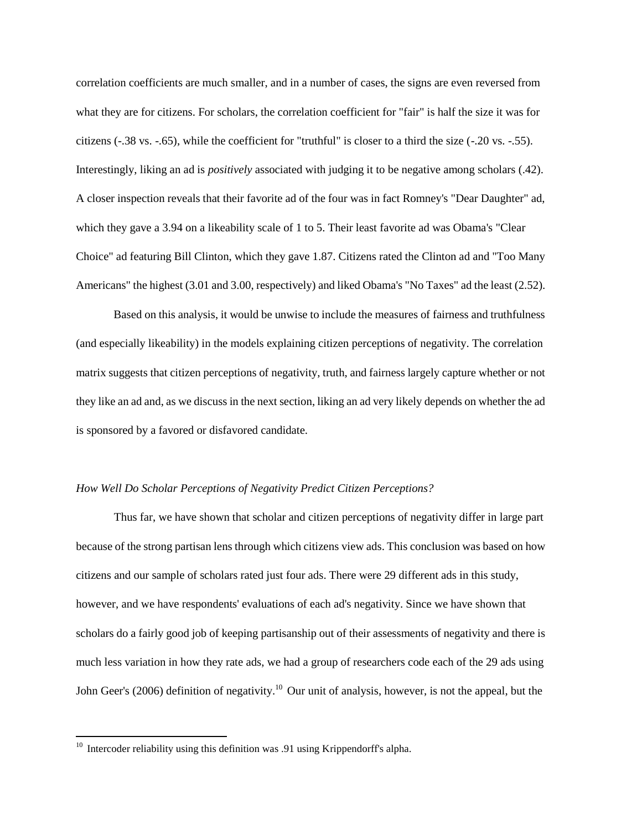correlation coefficients are much smaller, and in a number of cases, the signs are even reversed from what they are for citizens. For scholars, the correlation coefficient for "fair" is half the size it was for citizens (-.38 vs. -.65), while the coefficient for "truthful" is closer to a third the size (-.20 vs. -.55). Interestingly, liking an ad is *positively* associated with judging it to be negative among scholars (.42). A closer inspection reveals that their favorite ad of the four was in fact Romney's "Dear Daughter" ad, which they gave a 3.94 on a likeability scale of 1 to 5. Their least favorite ad was Obama's "Clear" Choice" ad featuring Bill Clinton, which they gave 1.87. Citizens rated the Clinton ad and "Too Many Americans" the highest (3.01 and 3.00, respectively) and liked Obama's "No Taxes" ad the least (2.52).

Based on this analysis, it would be unwise to include the measures of fairness and truthfulness (and especially likeability) in the models explaining citizen perceptions of negativity. The correlation matrix suggests that citizen perceptions of negativity, truth, and fairness largely capture whether or not they like an ad and, as we discuss in the next section, liking an ad very likely depends on whether the ad is sponsored by a favored or disfavored candidate.

## *How Well Do Scholar Perceptions of Negativity Predict Citizen Perceptions?*

Thus far, we have shown that scholar and citizen perceptions of negativity differ in large part because of the strong partisan lens through which citizens view ads. This conclusion was based on how citizens and our sample of scholars rated just four ads. There were 29 different ads in this study, however, and we have respondents' evaluations of each ad's negativity. Since we have shown that scholars do a fairly good job of keeping partisanship out of their assessments of negativity and there is much less variation in how they rate ads, we had a group of researchers code each of the 29 ads using John Geer's (2006) definition of negativity.<sup>10</sup> Our unit of analysis, however, is not the appeal, but the

 $10$  Intercoder reliability using this definition was .91 using Krippendorff's alpha.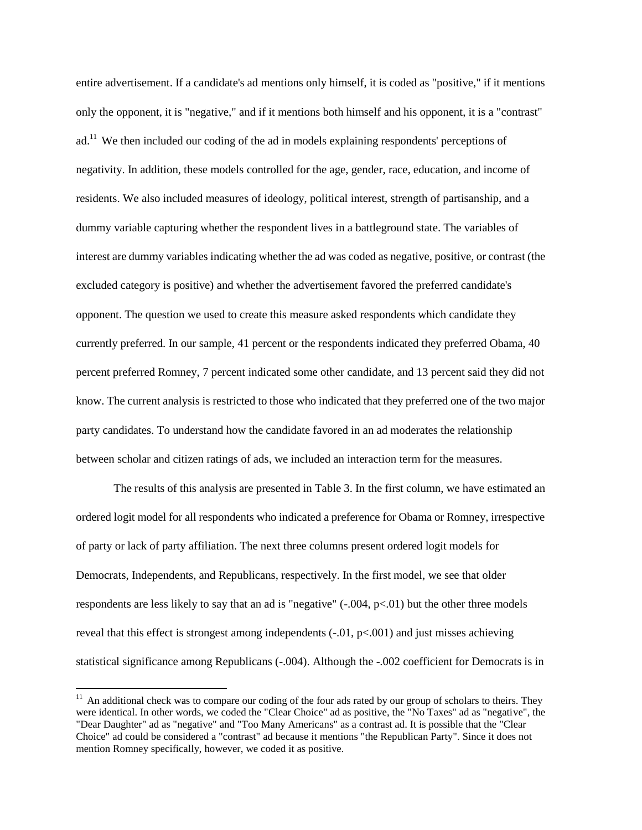entire advertisement. If a candidate's ad mentions only himself, it is coded as "positive," if it mentions only the opponent, it is "negative," and if it mentions both himself and his opponent, it is a "contrast" ad.<sup>11</sup> We then included our coding of the ad in models explaining respondents' perceptions of negativity. In addition, these models controlled for the age, gender, race, education, and income of residents. We also included measures of ideology, political interest, strength of partisanship, and a dummy variable capturing whether the respondent lives in a battleground state. The variables of interest are dummy variables indicating whether the ad was coded as negative, positive, or contrast (the excluded category is positive) and whether the advertisement favored the preferred candidate's opponent. The question we used to create this measure asked respondents which candidate they currently preferred. In our sample, 41 percent or the respondents indicated they preferred Obama, 40 percent preferred Romney, 7 percent indicated some other candidate, and 13 percent said they did not know. The current analysis is restricted to those who indicated that they preferred one of the two major party candidates. To understand how the candidate favored in an ad moderates the relationship between scholar and citizen ratings of ads, we included an interaction term for the measures.

The results of this analysis are presented in Table 3. In the first column, we have estimated an ordered logit model for all respondents who indicated a preference for Obama or Romney, irrespective of party or lack of party affiliation. The next three columns present ordered logit models for Democrats, Independents, and Republicans, respectively. In the first model, we see that older respondents are less likely to say that an ad is "negative" (-.004, p<.01) but the other three models reveal that this effect is strongest among independents  $(-0.01, p<0.001)$  and just misses achieving statistical significance among Republicans (-.004). Although the -.002 coefficient for Democrats is in

 $11$  An additional check was to compare our coding of the four ads rated by our group of scholars to theirs. They were identical. In other words, we coded the "Clear Choice" ad as positive, the "No Taxes" ad as "negative", the "Dear Daughter" ad as "negative" and "Too Many Americans" as a contrast ad. It is possible that the "Clear Choice" ad could be considered a "contrast" ad because it mentions "the Republican Party". Since it does not mention Romney specifically, however, we coded it as positive.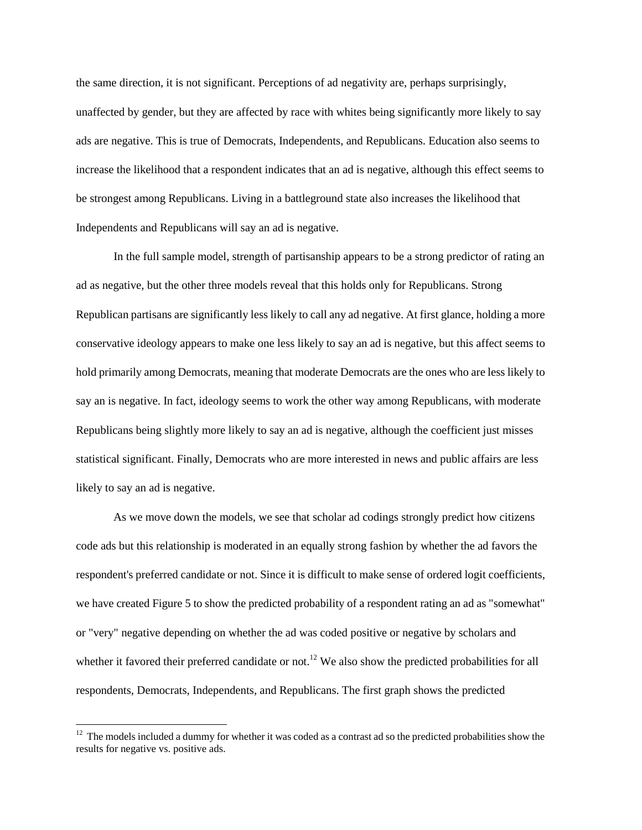the same direction, it is not significant. Perceptions of ad negativity are, perhaps surprisingly, unaffected by gender, but they are affected by race with whites being significantly more likely to say ads are negative. This is true of Democrats, Independents, and Republicans. Education also seems to increase the likelihood that a respondent indicates that an ad is negative, although this effect seems to be strongest among Republicans. Living in a battleground state also increases the likelihood that Independents and Republicans will say an ad is negative.

In the full sample model, strength of partisanship appears to be a strong predictor of rating an ad as negative, but the other three models reveal that this holds only for Republicans. Strong Republican partisans are significantly less likely to call any ad negative. At first glance, holding a more conservative ideology appears to make one less likely to say an ad is negative, but this affect seems to hold primarily among Democrats, meaning that moderate Democrats are the ones who are less likely to say an is negative. In fact, ideology seems to work the other way among Republicans, with moderate Republicans being slightly more likely to say an ad is negative, although the coefficient just misses statistical significant. Finally, Democrats who are more interested in news and public affairs are less likely to say an ad is negative.

As we move down the models, we see that scholar ad codings strongly predict how citizens code ads but this relationship is moderated in an equally strong fashion by whether the ad favors the respondent's preferred candidate or not. Since it is difficult to make sense of ordered logit coefficients, we have created Figure 5 to show the predicted probability of a respondent rating an ad as "somewhat" or "very" negative depending on whether the ad was coded positive or negative by scholars and whether it favored their preferred candidate or not.<sup>12</sup> We also show the predicted probabilities for all respondents, Democrats, Independents, and Republicans. The first graph shows the predicted

 $12$  The models included a dummy for whether it was coded as a contrast ad so the predicted probabilities show the results for negative vs. positive ads.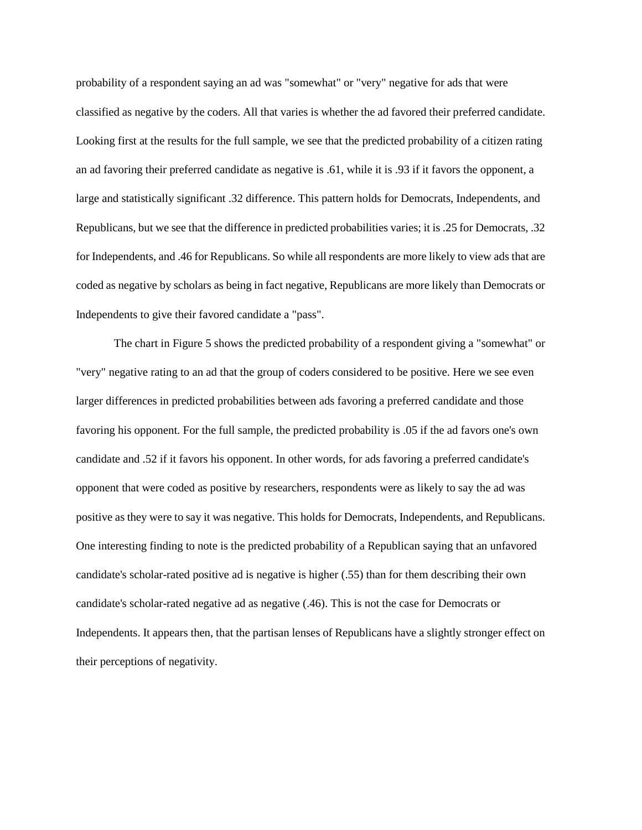probability of a respondent saying an ad was "somewhat" or "very" negative for ads that were classified as negative by the coders. All that varies is whether the ad favored their preferred candidate. Looking first at the results for the full sample, we see that the predicted probability of a citizen rating an ad favoring their preferred candidate as negative is .61, while it is .93 if it favors the opponent, a large and statistically significant .32 difference. This pattern holds for Democrats, Independents, and Republicans, but we see that the difference in predicted probabilities varies; it is .25 for Democrats, .32 for Independents, and .46 for Republicans. So while all respondents are more likely to view ads that are coded as negative by scholars as being in fact negative, Republicans are more likely than Democrats or Independents to give their favored candidate a "pass".

The chart in Figure 5 shows the predicted probability of a respondent giving a "somewhat" or "very" negative rating to an ad that the group of coders considered to be positive. Here we see even larger differences in predicted probabilities between ads favoring a preferred candidate and those favoring his opponent. For the full sample, the predicted probability is .05 if the ad favors one's own candidate and .52 if it favors his opponent. In other words, for ads favoring a preferred candidate's opponent that were coded as positive by researchers, respondents were as likely to say the ad was positive as they were to say it was negative. This holds for Democrats, Independents, and Republicans. One interesting finding to note is the predicted probability of a Republican saying that an unfavored candidate's scholar-rated positive ad is negative is higher (.55) than for them describing their own candidate's scholar-rated negative ad as negative (.46). This is not the case for Democrats or Independents. It appears then, that the partisan lenses of Republicans have a slightly stronger effect on their perceptions of negativity.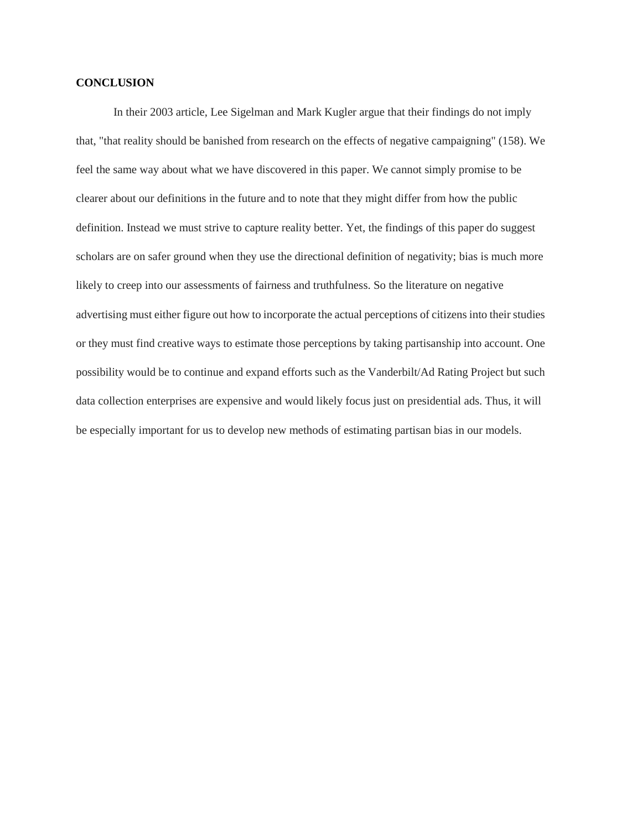## **CONCLUSION**

In their 2003 article, Lee Sigelman and Mark Kugler argue that their findings do not imply that, "that reality should be banished from research on the effects of negative campaigning" (158). We feel the same way about what we have discovered in this paper. We cannot simply promise to be clearer about our definitions in the future and to note that they might differ from how the public definition. Instead we must strive to capture reality better. Yet, the findings of this paper do suggest scholars are on safer ground when they use the directional definition of negativity; bias is much more likely to creep into our assessments of fairness and truthfulness. So the literature on negative advertising must either figure out how to incorporate the actual perceptions of citizens into their studies or they must find creative ways to estimate those perceptions by taking partisanship into account. One possibility would be to continue and expand efforts such as the Vanderbilt/Ad Rating Project but such data collection enterprises are expensive and would likely focus just on presidential ads. Thus, it will be especially important for us to develop new methods of estimating partisan bias in our models.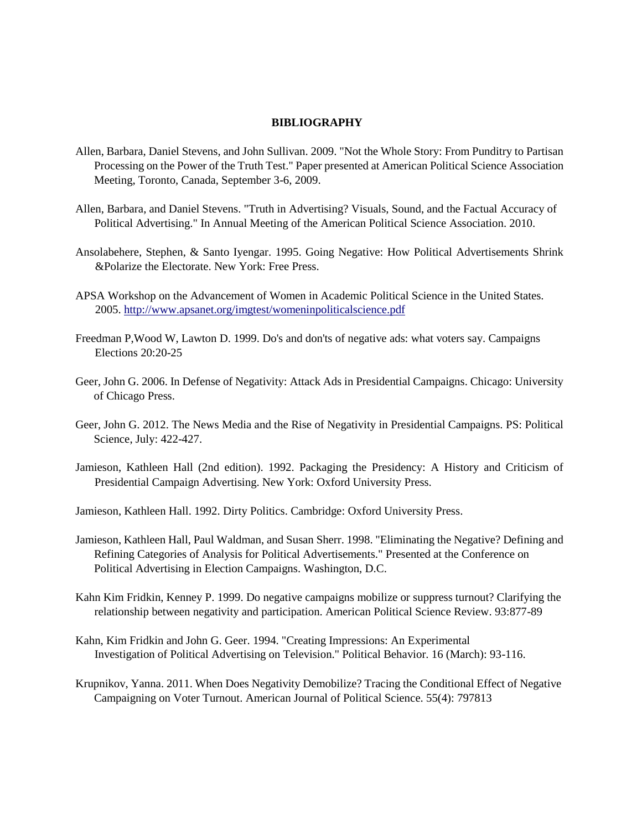## **BIBLIOGRAPHY**

- Allen, Barbara, Daniel Stevens, and John Sullivan. 2009. "Not the Whole Story: From Punditry to Partisan Processing on the Power of the Truth Test." Paper presented at American Political Science Association Meeting, Toronto, Canada, September 3-6, 2009.
- Allen, Barbara, and Daniel Stevens. "Truth in Advertising? Visuals, Sound, and the Factual Accuracy of Political Advertising." In Annual Meeting of the American Political Science Association. 2010.
- Ansolabehere, Stephen, & Santo Iyengar. 1995. Going Negative: How Political Advertisements Shrink &Polarize the Electorate. New York: Free Press.
- APSA Workshop on the Advancement of Women in Academic Political Science in the United States. 2005.<http://www.apsanet.org/imgtest/womeninpoliticalscience.pdf>
- Freedman P,Wood W, Lawton D. 1999. Do's and don'ts of negative ads: what voters say. Campaigns Elections 20:20-25
- Geer, John G. 2006. In Defense of Negativity: Attack Ads in Presidential Campaigns. Chicago: University of Chicago Press.
- Geer, John G. 2012. The News Media and the Rise of Negativity in Presidential Campaigns. PS: Political Science, July: 422-427.
- Jamieson, Kathleen Hall (2nd edition). 1992. Packaging the Presidency: A History and Criticism of Presidential Campaign Advertising. New York: Oxford University Press.
- Jamieson, Kathleen Hall. 1992. Dirty Politics. Cambridge: Oxford University Press.
- Jamieson, Kathleen Hall, Paul Waldman, and Susan Sherr. 1998. "Eliminating the Negative? Defining and Refining Categories of Analysis for Political Advertisements." Presented at the Conference on Political Advertising in Election Campaigns. Washington, D.C.
- Kahn Kim Fridkin, Kenney P. 1999. Do negative campaigns mobilize or suppress turnout? Clarifying the relationship between negativity and participation. American Political Science Review. 93:877-89
- Kahn, Kim Fridkin and John G. Geer. 1994. "Creating Impressions: An Experimental Investigation of Political Advertising on Television." Political Behavior. 16 (March): 93-116.
- Krupnikov, Yanna. 2011. When Does Negativity Demobilize? Tracing the Conditional Effect of Negative Campaigning on Voter Turnout. American Journal of Political Science. 55(4): 797813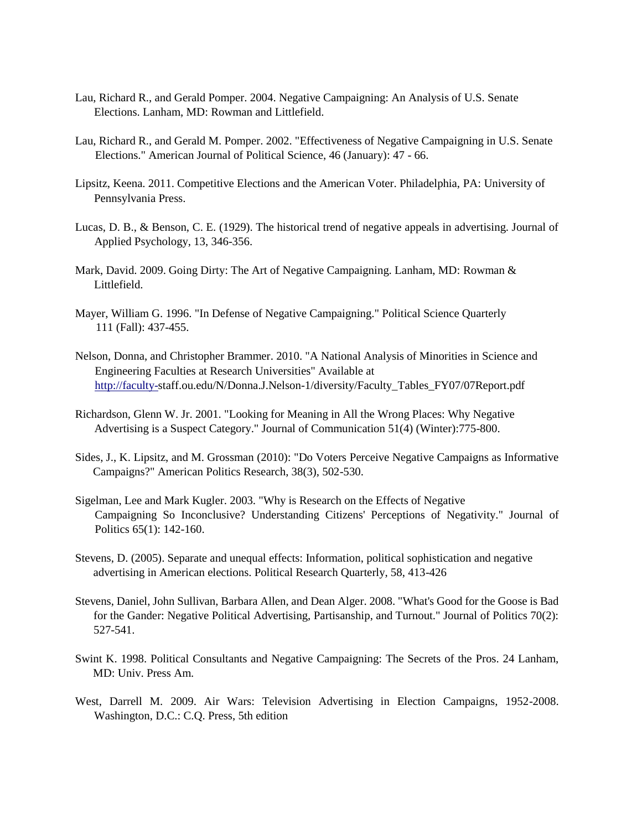- Lau, Richard R., and Gerald Pomper. 2004. Negative Campaigning: An Analysis of U.S. Senate Elections. Lanham, MD: Rowman and Littlefield.
- Lau, Richard R., and Gerald M. Pomper. 2002. "Effectiveness of Negative Campaigning in U.S. Senate Elections." American Journal of Political Science, 46 (January): 47 - 66.
- Lipsitz, Keena. 2011. Competitive Elections and the American Voter. Philadelphia, PA: University of Pennsylvania Press.
- Lucas, D. B., & Benson, C. E. (1929). The historical trend of negative appeals in advertising. Journal of Applied Psychology, 13, 346-356.
- Mark, David. 2009. Going Dirty: The Art of Negative Campaigning. Lanham, MD: Rowman & Littlefield.
- Mayer, William G. 1996. "In Defense of Negative Campaigning." Political Science Quarterly 111 (Fall): 437-455.
- Nelson, Donna, and Christopher Brammer. 2010. "A National Analysis of Minorities in Science and Engineering Faculties at Research Universities" Available at [http://faculty-s](http://faculty-/)taff.ou.edu/N/Donna.J.Nelson-1/diversity/Faculty\_Tables\_FY07/07Report.pdf
- Richardson, Glenn W. Jr. 2001. "Looking for Meaning in All the Wrong Places: Why Negative Advertising is a Suspect Category." Journal of Communication 51(4) (Winter):775-800.
- Sides, J., K. Lipsitz, and M. Grossman (2010): "Do Voters Perceive Negative Campaigns as Informative Campaigns?" American Politics Research, 38(3), 502-530.
- Sigelman, Lee and Mark Kugler. 2003. "Why is Research on the Effects of Negative Campaigning So Inconclusive? Understanding Citizens' Perceptions of Negativity." Journal of Politics 65(1): 142-160.
- Stevens, D. (2005). Separate and unequal effects: Information, political sophistication and negative advertising in American elections. Political Research Quarterly, 58, 413-426
- Stevens, Daniel, John Sullivan, Barbara Allen, and Dean Alger. 2008. "What's Good for the Goose is Bad for the Gander: Negative Political Advertising, Partisanship, and Turnout." Journal of Politics 70(2): 527-541.
- Swint K. 1998. Political Consultants and Negative Campaigning: The Secrets of the Pros. 24 Lanham, MD: Univ. Press Am.
- West, Darrell M. 2009. Air Wars: Television Advertising in Election Campaigns, 1952-2008. Washington, D.C.: C.Q. Press, 5th edition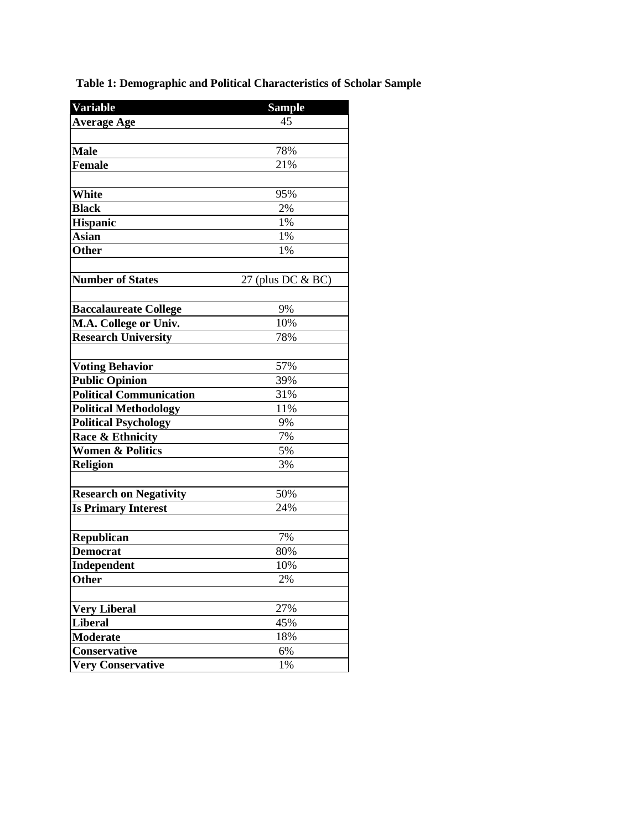**Table 1: Demographic and Political Characteristics of Scholar Sample**

| Variable                       | <b>Sample</b>     |
|--------------------------------|-------------------|
| <b>Average Age</b>             | 45                |
|                                |                   |
| <b>Male</b>                    | 78%               |
| <b>Female</b>                  | 21%               |
|                                |                   |
| White                          | 95%               |
| <b>Black</b>                   | 2%                |
| <b>Hispanic</b>                | 1%                |
| Asian                          | 1%                |
| Other                          | 1%                |
|                                |                   |
| <b>Number of States</b>        | 27 (plus DC & BC) |
|                                |                   |
| <b>Baccalaureate College</b>   | 9%                |
| M.A. College or Univ.          | 10%               |
| <b>Research University</b>     | 78%               |
|                                |                   |
| <b>Voting Behavior</b>         | 57%               |
| <b>Public Opinion</b>          | 39%               |
| <b>Political Communication</b> | 31%               |
| <b>Political Methodology</b>   | 11%               |
| <b>Political Psychology</b>    | 9%                |
| Race & Ethnicity               | 7%                |
| <b>Women &amp; Politics</b>    | 5%                |
| <b>Religion</b>                | 3%                |
|                                |                   |
| <b>Research on Negativity</b>  | 50%               |
| <b>Is Primary Interest</b>     | 24%               |
|                                |                   |
| Republican                     | 7%                |
| <b>Democrat</b>                | 80%               |
| <b>Independent</b>             | 10%               |
| Other                          | 2%                |
|                                |                   |
| <b>Very Liberal</b>            | 27%               |
| <b>Liberal</b>                 | 45%               |
| <b>Moderate</b>                | 18%               |
| Conservative                   | 6%                |
| <b>Very Conservative</b>       | 1%                |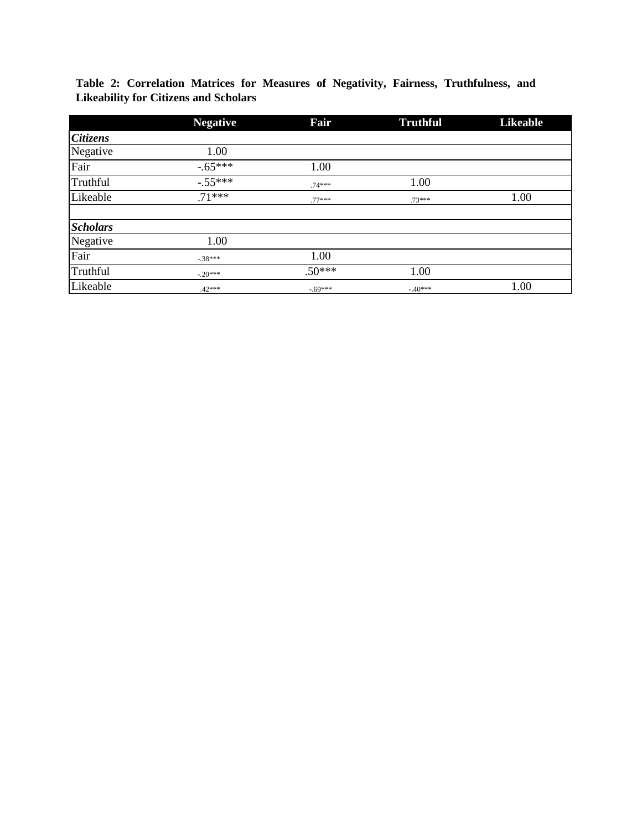|                 | <b>Negative</b> | Fair     | <b>Truthful</b> | <b>Likeable</b> |
|-----------------|-----------------|----------|-----------------|-----------------|
| <b>Citizens</b> |                 |          |                 |                 |
| Negative        | 1.00            |          |                 |                 |
| Fair            | $-.65***$       | 1.00     |                 |                 |
| Truthful        | $-.55***$       | $.74***$ | 1.00            |                 |
| Likeable        | $.71***$        | $.77***$ | $.73***$        | 1.00            |
| <b>Scholars</b> |                 |          |                 |                 |
| Negative        | 1.00            |          |                 |                 |
| Fair            | $-.38***$       | 1.00     |                 |                 |
| Truthful        | $-.20***$       | $.50***$ | 1.00            |                 |
| Likeable        | $.42***$        | $-69***$ | $-.40***$       | 1.00            |

**Table 2: Correlation Matrices for Measures of Negativity, Fairness, Truthfulness, and Likeability for Citizens and Scholars**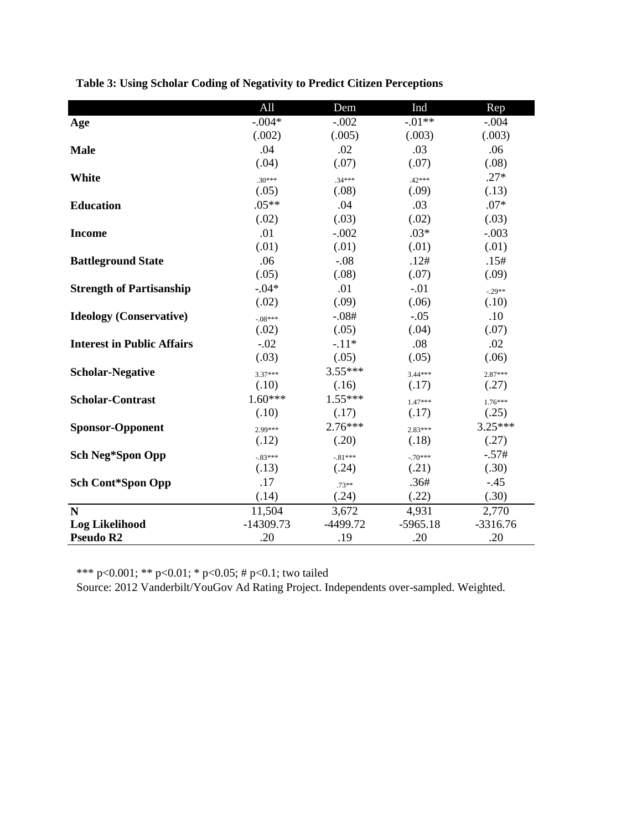|                                   | All         | Dem        | Ind        | Rep        |
|-----------------------------------|-------------|------------|------------|------------|
| Age                               | $-.004*$    | $-.002$    | $-.01**$   | $-.004$    |
|                                   | (.002)      | (.005)     | (.003)     | (.003)     |
| <b>Male</b>                       | .04         | .02        | .03        | .06        |
|                                   | (.04)       | (.07)      | (.07)      | (.08)      |
| White                             | $.30***$    | $.34***$   | $.42***$   | $.27*$     |
|                                   | (.05)       | (.08)      | (.09)      | (.13)      |
| <b>Education</b>                  | $.05**$     | .04        | .03        | $.07*$     |
|                                   | (.02)       | (.03)      | (.02)      | (.03)      |
| <b>Income</b>                     | .01         | $-.002$    | $.03*$     | $-.003$    |
|                                   | (.01)       | (.01)      | (.01)      | (.01)      |
| <b>Battleground State</b>         | .06         | $-.08$     | .12#       | .15#       |
|                                   | (.05)       | (.08)      | (.07)      | (.09)      |
| <b>Strength of Partisanship</b>   | $-.04*$     | .01        | $-.01$     | $-.29**$   |
|                                   | (.02)       | (.09)      | (.06)      | (.10)      |
| <b>Ideology</b> (Conservative)    | $-08***$    | $-.08#$    | $-.05$     | .10        |
|                                   | (.02)       | (.05)      | (.04)      | (.07)      |
| <b>Interest in Public Affairs</b> | $-.02$      | $-.11*$    | .08        | .02        |
|                                   | (.03)       | (.05)      | (.05)      | (.06)      |
| <b>Scholar-Negative</b>           | $3.37***$   | $3.55***$  | $3.44***$  | $2.87***$  |
|                                   | (.10)       | (.16)      | (.17)      | (.27)      |
| <b>Scholar-Contrast</b>           | $1.60***$   | $1.55***$  | $1.47***$  | $1.76***$  |
|                                   | (.10)       | (.17)      | (.17)      | (.25)      |
| <b>Sponsor-Opponent</b>           | $2.99***$   | $2.76***$  | $2.83***$  | $3.25***$  |
|                                   | (.12)       | (.20)      | (.18)      | (.27)      |
| <b>Sch Neg*Spon Opp</b>           | $-83***$    | $-.81***$  | $-70***$   | $-.57#$    |
|                                   | (.13)       | (.24)      | (.21)      | (.30)      |
| <b>Sch Cont*Spon Opp</b>          | .17         | $.73**$    | .36#       | $-45$      |
|                                   | (.14)       | (.24)      | (.22)      | (.30)      |
| N                                 | 11,504      | 3,672      | 4,931      | 2,770      |
| <b>Log Likelihood</b>             | $-14309.73$ | $-4499.72$ | $-5965.18$ | $-3316.76$ |
| Pseudo R2                         | .20         | .19        | .20        | .20        |

**Table 3: Using Scholar Coding of Negativity to Predict Citizen Perceptions**

\*\*\* p<0.001; \*\* p<0.01; \* p<0.05; # p<0.1; two tailed

Source: 2012 Vanderbilt/YouGov Ad Rating Project. Independents over-sampled. Weighted.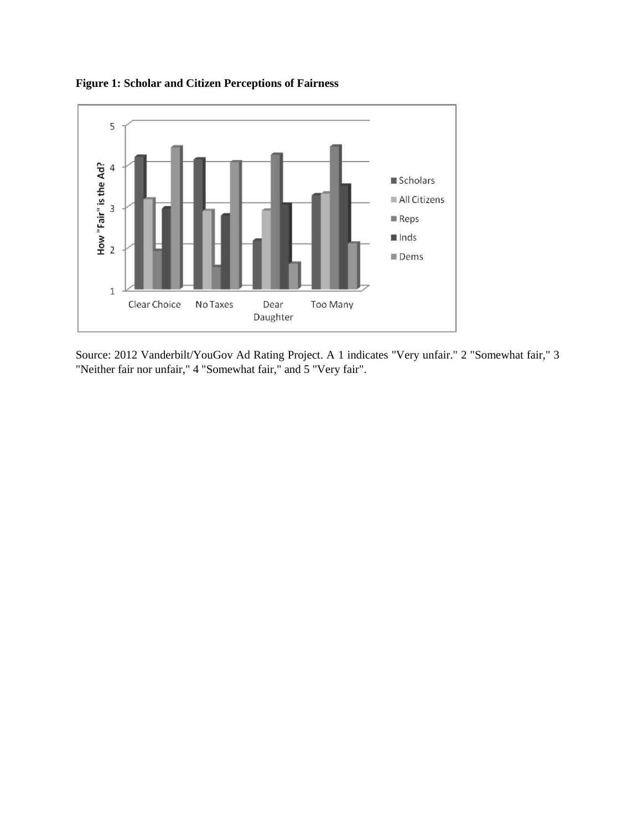

**Figure 1: Scholar and Citizen Perceptions of Fairness**

Source: 2012 Vanderbilt/YouGov Ad Rating Project. A 1 indicates "Very unfair." 2 "Somewhat fair," 3 "Neither fair nor unfair," 4 "Somewhat fair," and 5 "Very fair".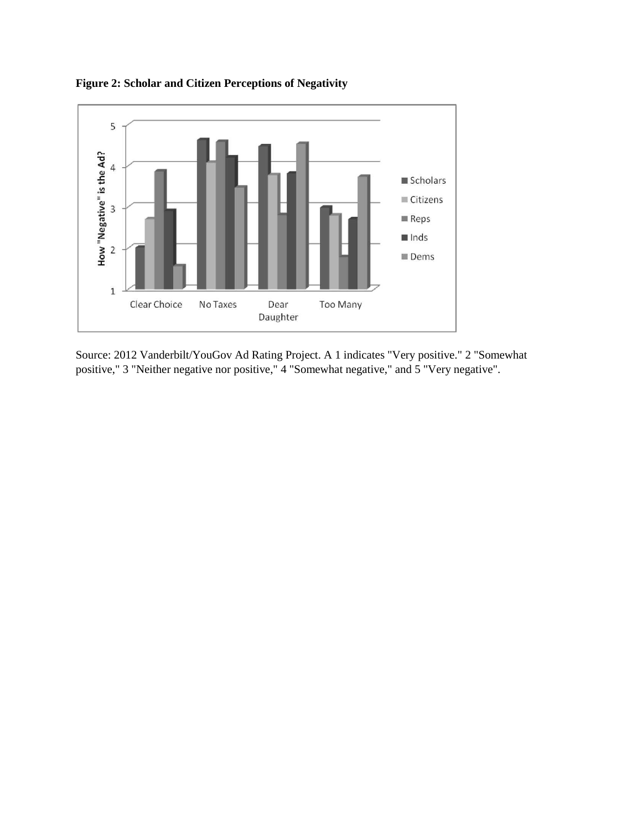

**Figure 2: Scholar and Citizen Perceptions of Negativity**

Source: 2012 Vanderbilt/YouGov Ad Rating Project. A 1 indicates "Very positive." 2 "Somewhat positive," 3 "Neither negative nor positive," 4 "Somewhat negative," and 5 "Very negative".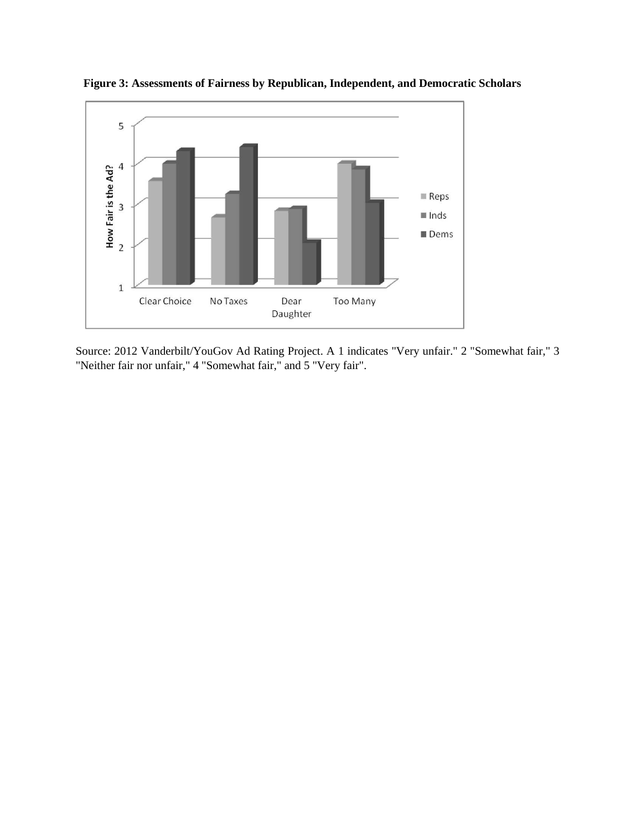

**Figure 3: Assessments of Fairness by Republican, Independent, and Democratic Scholars**

Source: 2012 Vanderbilt/YouGov Ad Rating Project. A 1 indicates "Very unfair." 2 "Somewhat fair," 3 "Neither fair nor unfair," 4 "Somewhat fair," and 5 "Very fair".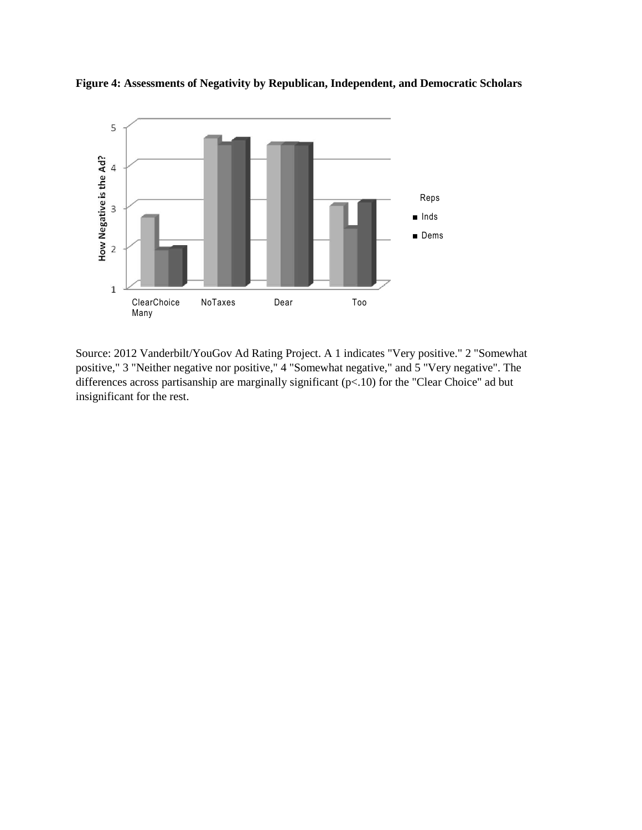

**Figure 4: Assessments of Negativity by Republican, Independent, and Democratic Scholars**

Source: 2012 Vanderbilt/YouGov Ad Rating Project. A 1 indicates "Very positive." 2 "Somewhat positive," 3 "Neither negative nor positive," 4 "Somewhat negative," and 5 "Very negative". The differences across partisanship are marginally significant  $(p< 10)$  for the "Clear Choice" ad but insignificant for the rest.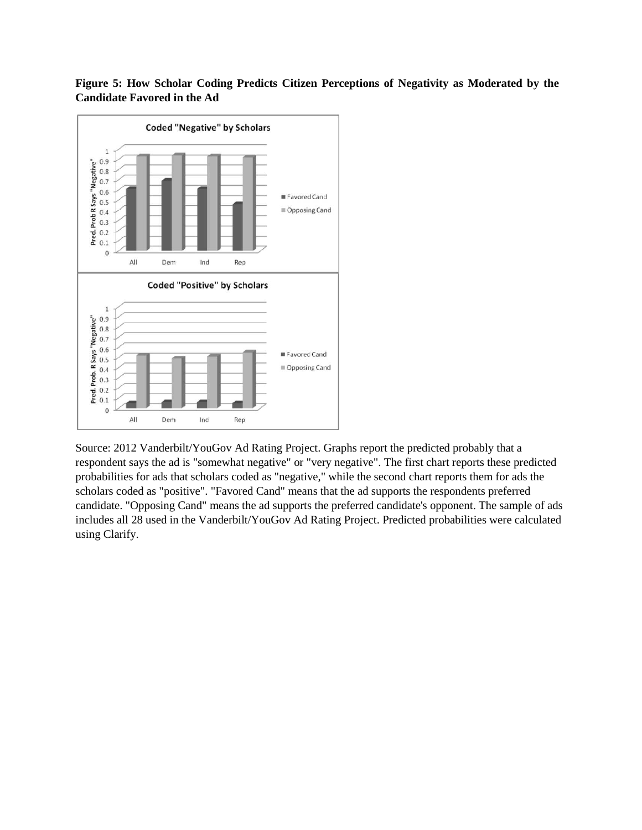**Figure 5: How Scholar Coding Predicts Citizen Perceptions of Negativity as Moderated by the Candidate Favored in the Ad**



Source: 2012 Vanderbilt/YouGov Ad Rating Project. Graphs report the predicted probably that a respondent says the ad is "somewhat negative" or "very negative". The first chart reports these predicted probabilities for ads that scholars coded as "negative," while the second chart reports them for ads the scholars coded as "positive". "Favored Cand" means that the ad supports the respondents preferred candidate. "Opposing Cand" means the ad supports the preferred candidate's opponent. The sample of ads includes all 28 used in the Vanderbilt/YouGov Ad Rating Project. Predicted probabilities were calculated using Clarify.